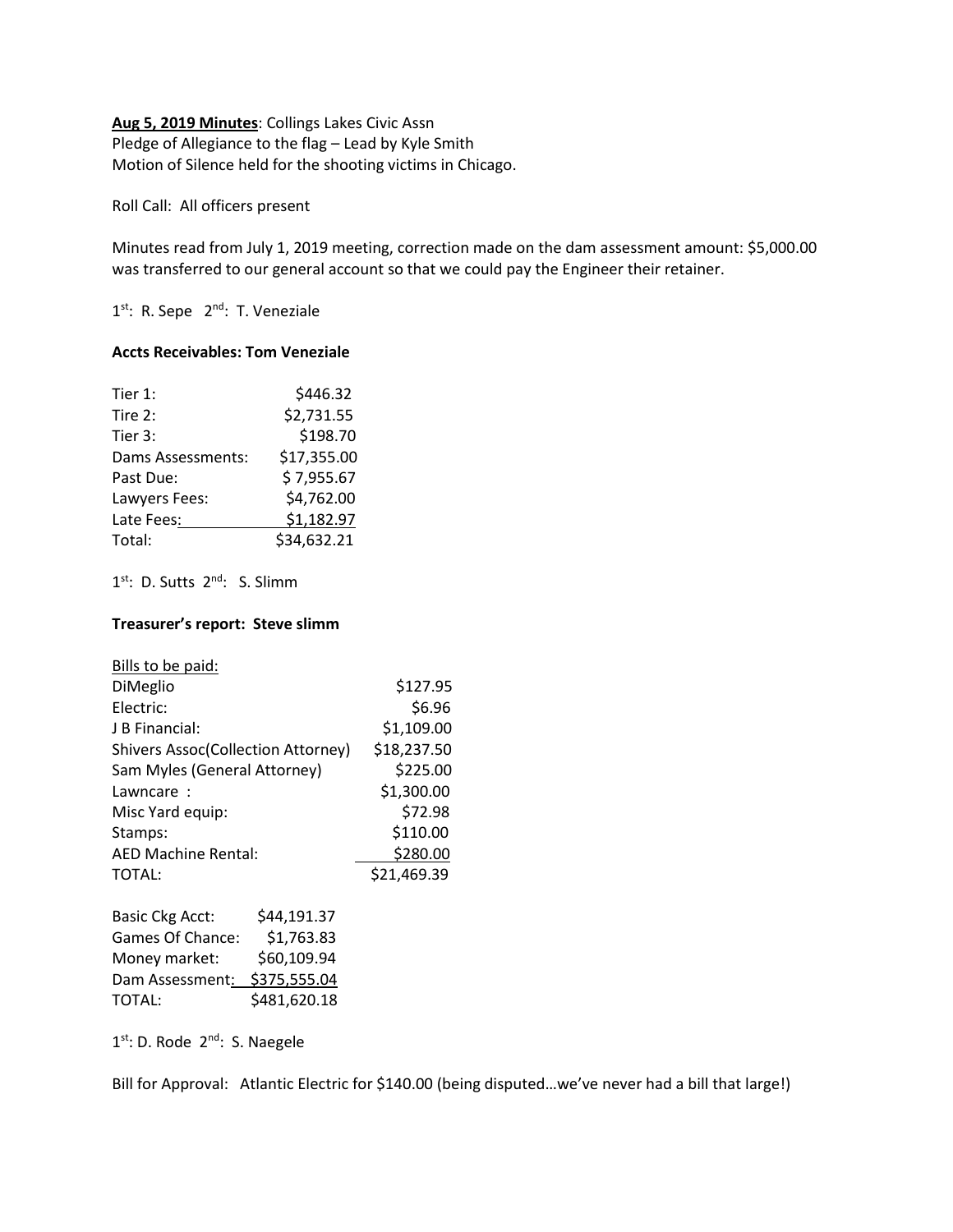# **Aug 5, 2019 Minutes**: Collings Lakes Civic Assn Pledge of Allegiance to the flag – Lead by Kyle Smith Motion of Silence held for the shooting victims in Chicago.

Roll Call: All officers present

Minutes read from July 1, 2019 meeting, correction made on the dam assessment amount: \$5,000.00 was transferred to our general account so that we could pay the Engineer their retainer.

1<sup>st</sup>: R. Sepe 2<sup>nd</sup>: T. Veneziale

### **Accts Receivables: Tom Veneziale**

| Tier 1:           | \$446.32    |
|-------------------|-------------|
| Tire 2:           | \$2,731.55  |
| Tier 3:           | \$198.70    |
| Dams Assessments: | \$17,355.00 |
| Past Due:         | \$7,955.67  |
| Lawyers Fees:     | \$4,762.00  |
| Late Fees:        | \$1,182.97  |
| Total:            | \$34,632.21 |

1<sup>st</sup>: D. Sutts 2<sup>nd</sup>: S. Slimm

## **Treasurer's report: Steve slimm**

| Bills to be paid:                         |              |             |
|-------------------------------------------|--------------|-------------|
| DiMeglio                                  |              | \$127.95    |
| Electric:                                 |              | \$6.96      |
| J B Financial:                            |              | \$1,109.00  |
| <b>Shivers Assoc(Collection Attorney)</b> |              | \$18,237.50 |
| Sam Myles (General Attorney)              |              | \$225.00    |
| Lawncare:                                 |              | \$1,300.00  |
| Misc Yard equip:                          |              | \$72.98     |
| Stamps:                                   |              | \$110.00    |
| <b>AED Machine Rental:</b>                |              | \$280.00    |
| <b>TOTAL:</b>                             |              | \$21,469.39 |
| <b>Basic Ckg Acct:</b>                    | \$44,191.37  |             |
| Games Of Chance:                          | \$1,763.83   |             |
| Money market:                             | \$60,109.94  |             |
| Dam Assessment:                           | \$375,555.04 |             |

1<sup>st</sup>: D. Rode 2<sup>nd</sup>: S. Naegele

TOTAL: \$481,620.18

Bill for Approval: Atlantic Electric for \$140.00 (being disputed...we've never had a bill that large!)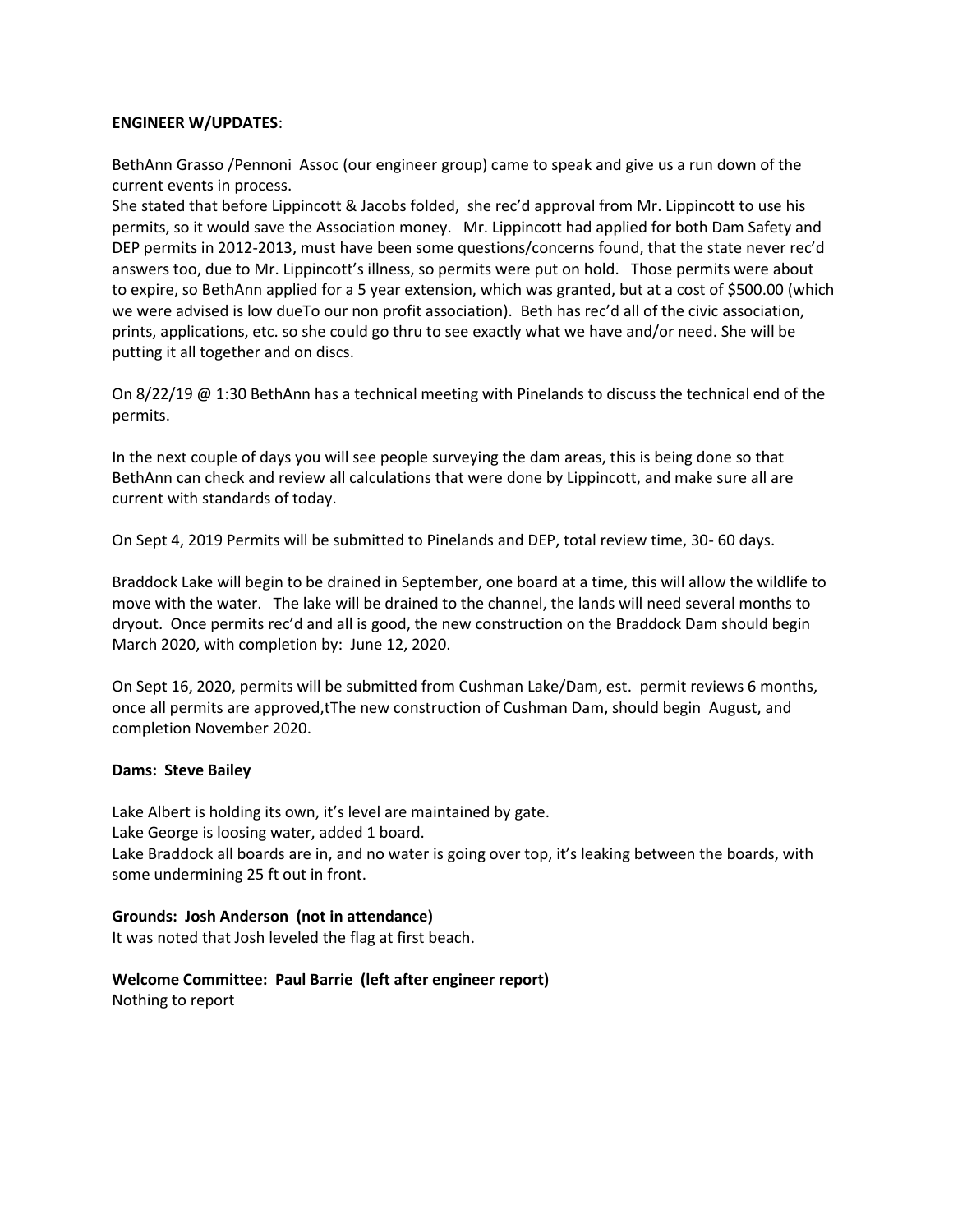### **ENGINEER W/UPDATES**:

BethAnn Grasso /Pennoni Assoc (our engineer group) came to speak and give us a run down of the current events in process.

She stated that before Lippincott & Jacobs folded, she rec'd approval from Mr. Lippincott to use his permits, so it would save the Association money. Mr. Lippincott had applied for both Dam Safety and DEP permits in 2012-2013, must have been some questions/concerns found, that the state never rec'd answers too, due to Mr. Lippincott's illness, so permits were put on hold. Those permits were about to expire, so BethAnn applied for a 5 year extension, which was granted, but at a cost of \$500.00 (which we were advised is low dueTo our non profit association). Beth has rec'd all of the civic association, prints, applications, etc. so she could go thru to see exactly what we have and/or need. She will be putting it all together and on discs.

On 8/22/19 @ 1:30 BethAnn has a technical meeting with Pinelands to discuss the technical end of the permits.

In the next couple of days you will see people surveying the dam areas, this is being done so that BethAnn can check and review all calculations that were done by Lippincott, and make sure all are current with standards of today.

On Sept 4, 2019 Permits will be submitted to Pinelands and DEP, total review time, 30- 60 days.

Braddock Lake will begin to be drained in September, one board at a time, this will allow the wildlife to move with the water. The lake will be drained to the channel, the lands will need several months to dryout. Once permits rec'd and all is good, the new construction on the Braddock Dam should begin March 2020, with completion by: June 12, 2020.

On Sept 16, 2020, permits will be submitted from Cushman Lake/Dam, est. permit reviews 6 months, once all permits are approved,tThe new construction of Cushman Dam, should begin August, and completion November 2020.

### **Dams: Steve Bailey**

Lake Albert is holding its own, it's level are maintained by gate. Lake George is loosing water, added 1 board. Lake Braddock all boards are in, and no water is going over top, it's leaking between the boards, with some undermining 25 ft out in front.

### **Grounds: Josh Anderson (not in attendance)**

It was noted that Josh leveled the flag at first beach.

## **Welcome Committee: Paul Barrie (left after engineer report)**

Nothing to report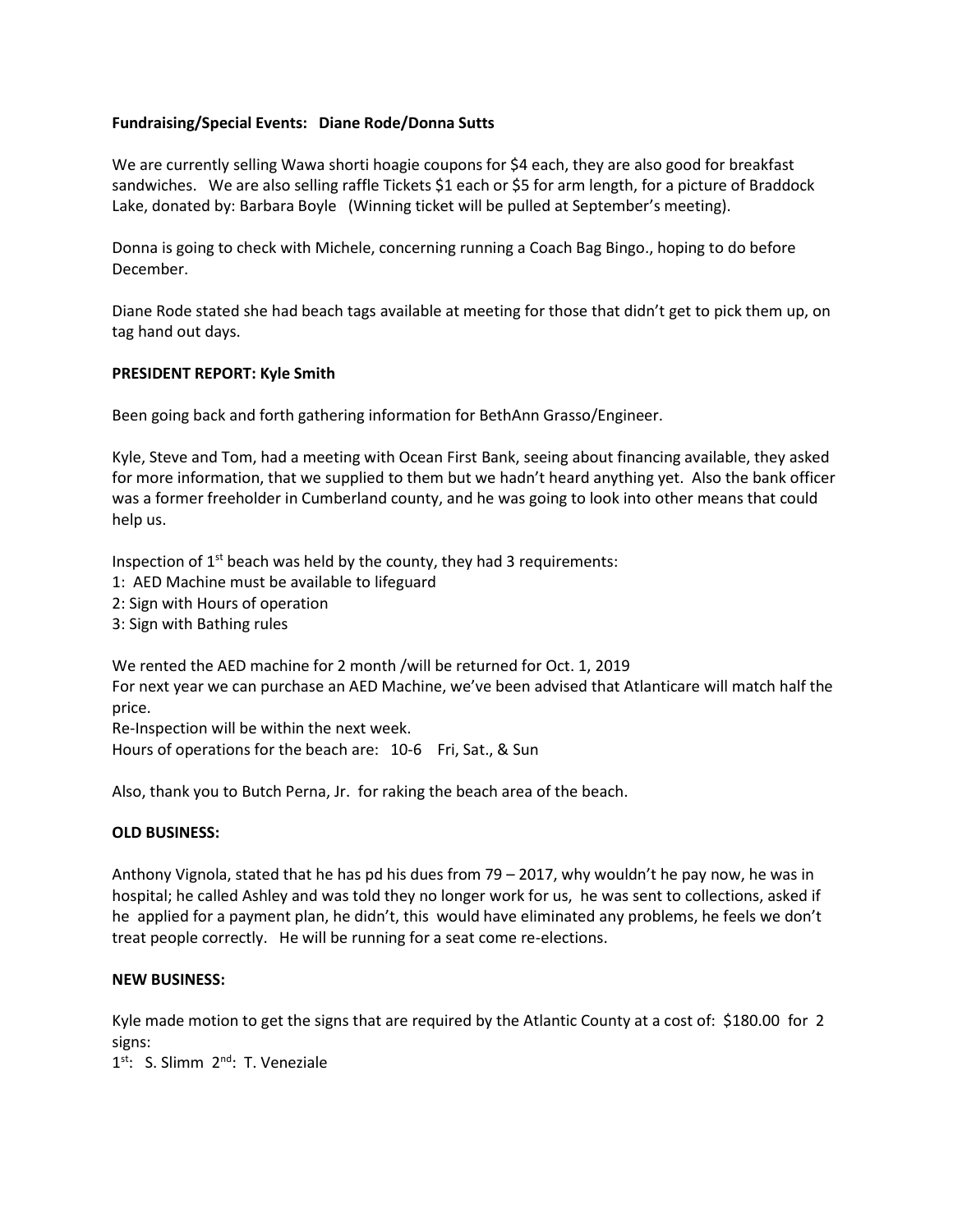## **Fundraising/Special Events: Diane Rode/Donna Sutts**

We are currently selling Wawa shorti hoagie coupons for \$4 each, they are also good for breakfast sandwiches. We are also selling raffle Tickets \$1 each or \$5 for arm length, for a picture of Braddock Lake, donated by: Barbara Boyle (Winning ticket will be pulled at September's meeting).

Donna is going to check with Michele, concerning running a Coach Bag Bingo., hoping to do before December.

Diane Rode stated she had beach tags available at meeting for those that didn't get to pick them up, on tag hand out days.

### **PRESIDENT REPORT: Kyle Smith**

Been going back and forth gathering information for BethAnn Grasso/Engineer.

Kyle, Steve and Tom, had a meeting with Ocean First Bank, seeing about financing available, they asked for more information, that we supplied to them but we hadn't heard anything yet. Also the bank officer was a former freeholder in Cumberland county, and he was going to look into other means that could help us.

Inspection of  $1^{st}$  beach was held by the county, they had 3 requirements:

- 1: AED Machine must be available to lifeguard
- 2: Sign with Hours of operation
- 3: Sign with Bathing rules

We rented the AED machine for 2 month /will be returned for Oct. 1, 2019 For next year we can purchase an AED Machine, we've been advised that Atlanticare will match half the price.

Re-Inspection will be within the next week. Hours of operations for the beach are: 10-6 Fri, Sat., & Sun

Also, thank you to Butch Perna, Jr. for raking the beach area of the beach.

### **OLD BUSINESS:**

Anthony Vignola, stated that he has pd his dues from 79 – 2017, why wouldn't he pay now, he was in hospital; he called Ashley and was told they no longer work for us, he was sent to collections, asked if he applied for a payment plan, he didn't, this would have eliminated any problems, he feels we don't treat people correctly. He will be running for a seat come re-elections.

### **NEW BUSINESS:**

Kyle made motion to get the signs that are required by the Atlantic County at a cost of: \$180.00 for 2 signs:

1<sup>st</sup>: S. Slimm 2<sup>nd</sup>: T. Veneziale